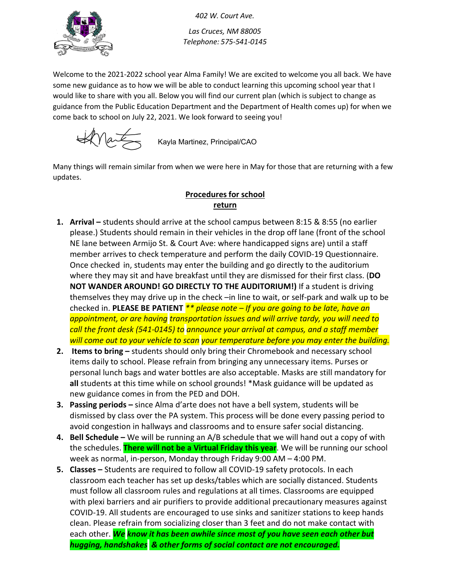

*402 W. Court Ave. Las Cruces, NM 88005 Telephone: 575-541-0145*

Welcome to the 2021-2022 school year Alma Family! We are excited to welcome you all back. We have some new guidance as to how we will be able to conduct learning this upcoming school year that I would like to share with you all. Below you will find our current plan (which is subject to change as guidance from the Public Education Department and the Department of Health comes up) for when we come back to school on July 22, 2021. We look forward to seeing you!

 $\forall x$ 

Kayla Martinez, Principal/CAO

Many things will remain similar from when we were here in May for those that are returning with a few updates.

## **Procedures for school return**

- **1. Arrival** students should arrive at the school campus between 8:15 & 8:55 (no earlier please.) Students should remain in their vehicles in the drop off lane (front of the school NE lane between Armijo St. & Court Ave: where handicapped signs are) until a staff member arrives to check temperature and perform the daily COVID-19 Questionnaire. Once checked in, students may enter the building and go directly to the auditorium where they may sit and have breakfast until they are dismissed for their first class. (**DO NOT WANDER AROUND! GO DIRECTLY TO THE AUDITORIUM!)** If a student is driving themselves they may drive up in the check –in line to wait, or self-park and walk up to be checked in. **PLEASE BE PATIENT** *\*\* please note – If you are going to be late, have an appointment, or are having transportation issues and will arrive tardy, you will need to call the front desk (541-0145) to announce your arrival at campus, and a staff member will come out to your vehicle to scan your temperature before you may enter the building.*
- **2. Items to bring** students should only bring their Chromebook and necessary school items daily to school. Please refrain from bringing any unnecessary items. Purses or personal lunch bags and water bottles are also acceptable. Masks are still mandatory for **all** students at this time while on school grounds! \*Mask guidance will be updated as new guidance comes in from the PED and DOH.
- **3. Passing periods** since Alma d'arte does not have a bell system, students will be dismissed by class over the PA system. This process will be done every passing period to avoid congestion in hallways and classrooms and to ensure safer social distancing.
- **4. Bell Schedule –** We will be running an A/B schedule that we will hand out a copy of with the schedules. **There will not be a Virtual Friday this year**. We will be running our school week as normal, in-person, Monday through Friday 9:00 AM – 4:00 PM.
- **5. Classes** Students are required to follow all COVID-19 safety protocols. In each classroom each teacher has set up desks/tables which are socially distanced. Students must follow all classroom rules and regulations at all times. Classrooms are equipped with plexi barriers and air purifiers to provide additional precautionary measures against COVID-19. All students are encouraged to use sinks and sanitizer stations to keep hands clean. Please refrain from socializing closer than 3 feet and do not make contact with each other. *We know it has been awhile since most of you have seen each other but hugging, handshakes & other forms of social contact are not encouraged.*